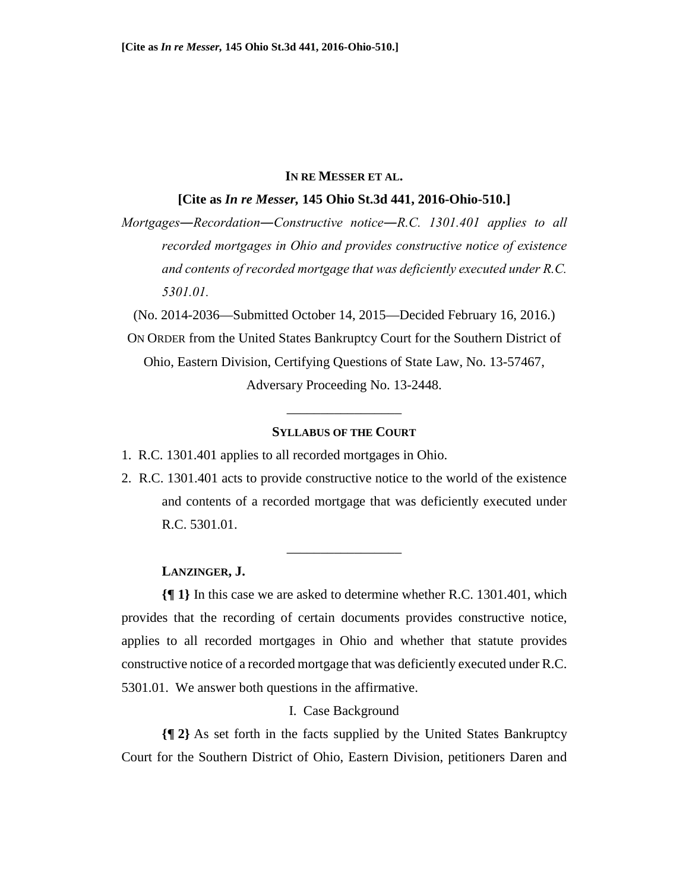## **IN RE MESSER ET AL.**

## **[Cite as** *In re Messer,* **145 Ohio St.3d 441, 2016-Ohio-510.]**

*Mortgages―Recordation―Constructive notice―R.C. 1301.401 applies to all recorded mortgages in Ohio and provides constructive notice of existence and contents of recorded mortgage that was deficiently executed under R.C. 5301.01.* 

(No. 2014-2036—Submitted October 14, 2015—Decided February 16, 2016.) ON ORDER from the United States Bankruptcy Court for the Southern District of Ohio, Eastern Division, Certifying Questions of State Law, No. 13-57467, Adversary Proceeding No. 13-2448.

# **SYLLABUS OF THE COURT**

\_\_\_\_\_\_\_\_\_\_\_\_\_\_\_\_\_

1. R.C. 1301.401 applies to all recorded mortgages in Ohio.

2. R.C. 1301.401 acts to provide constructive notice to the world of the existence and contents of a recorded mortgage that was deficiently executed under R.C. 5301.01.

\_\_\_\_\_\_\_\_\_\_\_\_\_\_\_\_\_

# **LANZINGER, J.**

**{¶ 1}** In this case we are asked to determine whether R.C. 1301.401, which provides that the recording of certain documents provides constructive notice, applies to all recorded mortgages in Ohio and whether that statute provides constructive notice of a recorded mortgage that was deficiently executed under R.C. 5301.01. We answer both questions in the affirmative.

# I. Case Background

**{¶ 2}** As set forth in the facts supplied by the United States Bankruptcy Court for the Southern District of Ohio, Eastern Division, petitioners Daren and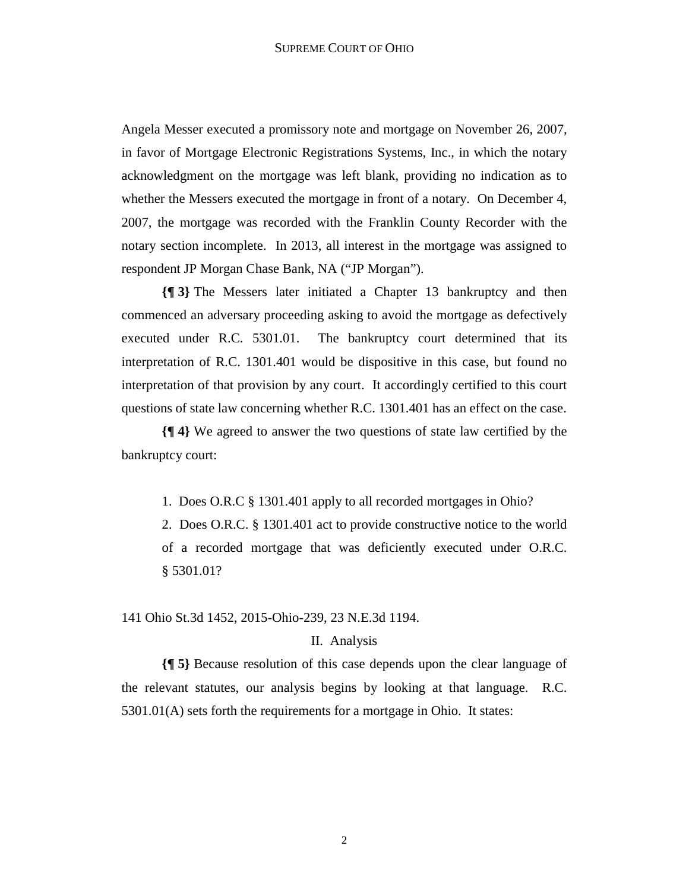Angela Messer executed a promissory note and mortgage on November 26, 2007, in favor of Mortgage Electronic Registrations Systems, Inc., in which the notary acknowledgment on the mortgage was left blank, providing no indication as to whether the Messers executed the mortgage in front of a notary. On December 4, 2007, the mortgage was recorded with the Franklin County Recorder with the notary section incomplete. In 2013, all interest in the mortgage was assigned to respondent JP Morgan Chase Bank, NA ("JP Morgan").

**{¶ 3}** The Messers later initiated a Chapter 13 bankruptcy and then commenced an adversary proceeding asking to avoid the mortgage as defectively executed under R.C. 5301.01. The bankruptcy court determined that its interpretation of R.C. 1301.401 would be dispositive in this case, but found no interpretation of that provision by any court. It accordingly certified to this court questions of state law concerning whether R.C. 1301.401 has an effect on the case.

**{¶ 4}** We agreed to answer the two questions of state law certified by the bankruptcy court:

1. Does O.R.C § 1301.401 apply to all recorded mortgages in Ohio?

2. Does O.R.C. § 1301.401 act to provide constructive notice to the world of a recorded mortgage that was deficiently executed under O.R.C. § 5301.01?

141 Ohio St.3d 1452, 2015-Ohio-239, 23 N.E.3d 1194.

## II. Analysis

**{¶ 5}** Because resolution of this case depends upon the clear language of the relevant statutes, our analysis begins by looking at that language. R.C. 5301.01(A) sets forth the requirements for a mortgage in Ohio. It states: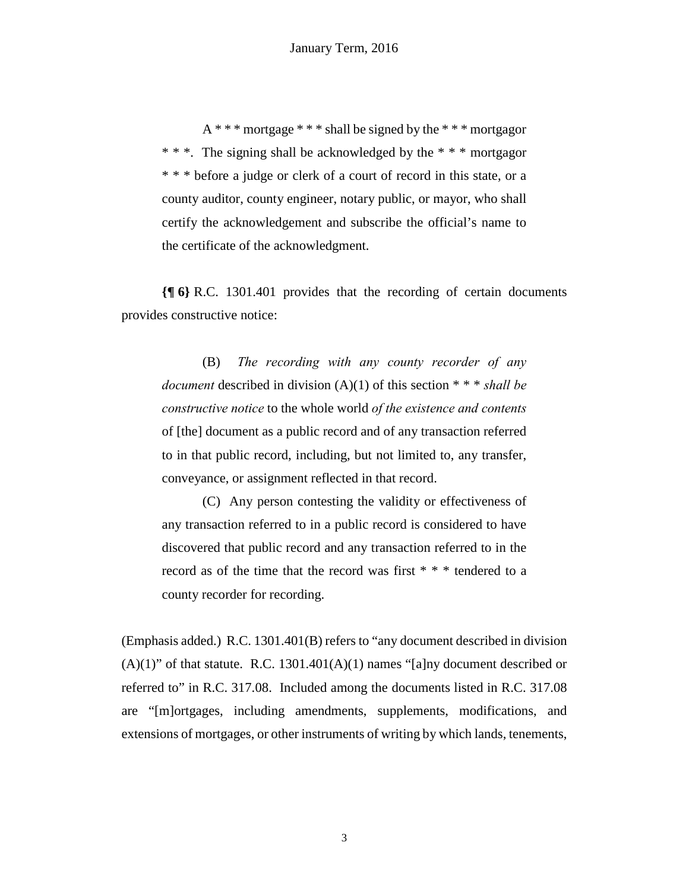A \* \* \* mortgage \* \* \* shall be signed by the \* \* \* mortgagor \* \* \*. The signing shall be acknowledged by the \* \* \* mortgagor \* \* \* before a judge or clerk of a court of record in this state, or a county auditor, county engineer, notary public, or mayor, who shall certify the acknowledgement and subscribe the official's name to the certificate of the acknowledgment.

**{¶ 6}** R.C. 1301.401 provides that the recording of certain documents provides constructive notice:

(B) *The recording with any county recorder of any document* described in division (A)(1) of this section \* \* \* *shall be constructive notice* to the whole world *of the existence and contents* of [the] document as a public record and of any transaction referred to in that public record, including, but not limited to, any transfer, conveyance, or assignment reflected in that record.

(C) Any person contesting the validity or effectiveness of any transaction referred to in a public record is considered to have discovered that public record and any transaction referred to in the record as of the time that the record was first \* \* \* tendered to a county recorder for recording.

(Emphasis added.) R.C. 1301.401(B) refers to "any document described in division  $(A)(1)$ " of that statute. R.C. 1301.401 $(A)(1)$  names "[a]ny document described or referred to" in R.C. 317.08. Included among the documents listed in R.C. 317.08 are "[m]ortgages, including amendments, supplements, modifications, and extensions of mortgages, or other instruments of writing by which lands, tenements,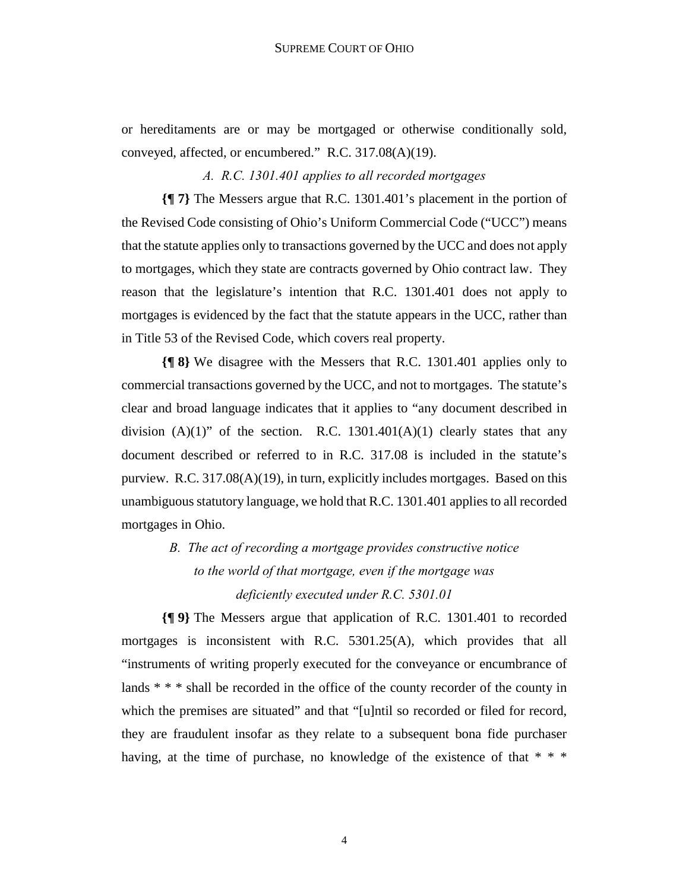or hereditaments are or may be mortgaged or otherwise conditionally sold, conveyed, affected, or encumbered." R.C. 317.08(A)(19).

*A. R.C. 1301.401 applies to all recorded mortgages*

**{¶ 7}** The Messers argue that R.C. 1301.401's placement in the portion of the Revised Code consisting of Ohio's Uniform Commercial Code ("UCC") means that the statute applies only to transactions governed by the UCC and does not apply to mortgages, which they state are contracts governed by Ohio contract law. They reason that the legislature's intention that R.C. 1301.401 does not apply to mortgages is evidenced by the fact that the statute appears in the UCC, rather than in Title 53 of the Revised Code, which covers real property.

**{¶ 8}** We disagree with the Messers that R.C. 1301.401 applies only to commercial transactions governed by the UCC, and not to mortgages. The statute's clear and broad language indicates that it applies to "any document described in division  $(A)(1)$ " of the section. R.C. 1301.401 $(A)(1)$  clearly states that any document described or referred to in R.C. 317.08 is included in the statute's purview. R.C. 317.08(A)(19), in turn, explicitly includes mortgages. Based on this unambiguous statutory language, we hold that R.C. 1301.401 applies to all recorded mortgages in Ohio.

# *B. The act of recording a mortgage provides constructive notice to the world of that mortgage, even if the mortgage was deficiently executed under R.C. 5301.01*

**{¶ 9}** The Messers argue that application of R.C. 1301.401 to recorded mortgages is inconsistent with R.C. 5301.25(A), which provides that all "instruments of writing properly executed for the conveyance or encumbrance of lands \* \* \* shall be recorded in the office of the county recorder of the county in which the premises are situated" and that "[u]ntil so recorded or filed for record, they are fraudulent insofar as they relate to a subsequent bona fide purchaser having, at the time of purchase, no knowledge of the existence of that  $* * *$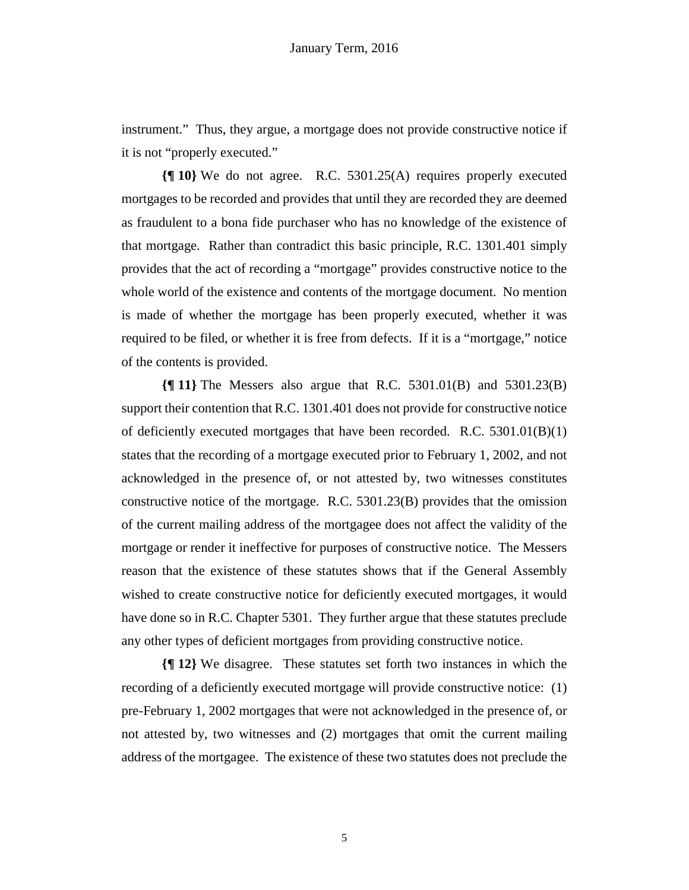instrument." Thus, they argue, a mortgage does not provide constructive notice if it is not "properly executed."

**{¶ 10}** We do not agree. R.C. 5301.25(A) requires properly executed mortgages to be recorded and provides that until they are recorded they are deemed as fraudulent to a bona fide purchaser who has no knowledge of the existence of that mortgage. Rather than contradict this basic principle, R.C. 1301.401 simply provides that the act of recording a "mortgage" provides constructive notice to the whole world of the existence and contents of the mortgage document. No mention is made of whether the mortgage has been properly executed, whether it was required to be filed, or whether it is free from defects. If it is a "mortgage," notice of the contents is provided.

**{¶ 11}** The Messers also argue that R.C. 5301.01(B) and 5301.23(B) support their contention that R.C. 1301.401 does not provide for constructive notice of deficiently executed mortgages that have been recorded. R.C. 5301.01(B)(1) states that the recording of a mortgage executed prior to February 1, 2002, and not acknowledged in the presence of, or not attested by, two witnesses constitutes constructive notice of the mortgage. R.C. 5301.23(B) provides that the omission of the current mailing address of the mortgagee does not affect the validity of the mortgage or render it ineffective for purposes of constructive notice. The Messers reason that the existence of these statutes shows that if the General Assembly wished to create constructive notice for deficiently executed mortgages, it would have done so in R.C. Chapter 5301. They further argue that these statutes preclude any other types of deficient mortgages from providing constructive notice.

**{¶ 12}** We disagree. These statutes set forth two instances in which the recording of a deficiently executed mortgage will provide constructive notice: (1) pre-February 1, 2002 mortgages that were not acknowledged in the presence of, or not attested by, two witnesses and (2) mortgages that omit the current mailing address of the mortgagee. The existence of these two statutes does not preclude the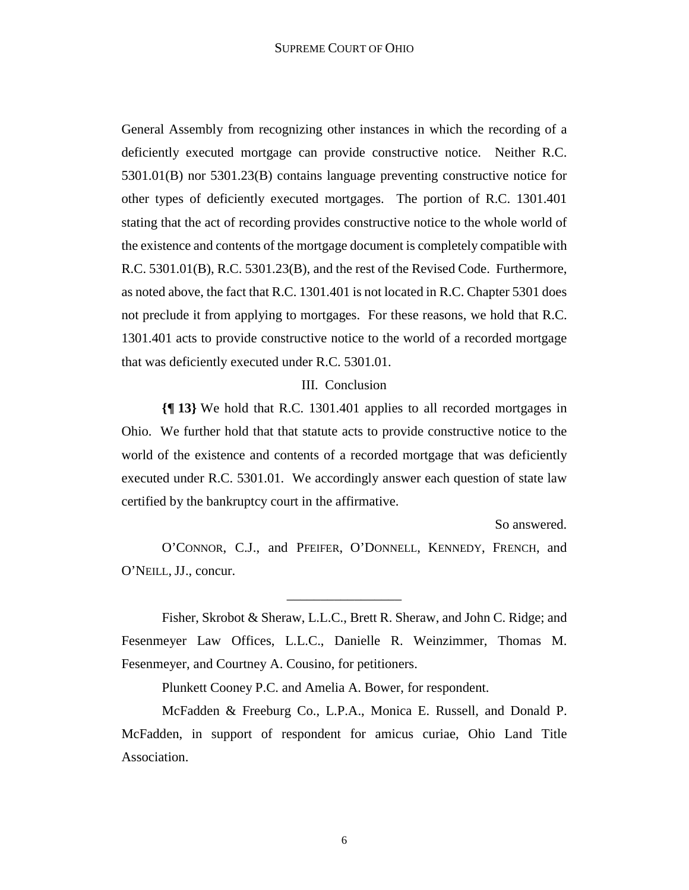General Assembly from recognizing other instances in which the recording of a deficiently executed mortgage can provide constructive notice. Neither R.C. 5301.01(B) nor 5301.23(B) contains language preventing constructive notice for other types of deficiently executed mortgages. The portion of R.C. 1301.401 stating that the act of recording provides constructive notice to the whole world of the existence and contents of the mortgage document is completely compatible with R.C. 5301.01(B), R.C. 5301.23(B), and the rest of the Revised Code. Furthermore, as noted above, the fact that R.C. 1301.401 is not located in R.C. Chapter 5301 does not preclude it from applying to mortgages. For these reasons, we hold that R.C. 1301.401 acts to provide constructive notice to the world of a recorded mortgage that was deficiently executed under R.C. 5301.01.

## III. Conclusion

**{¶ 13}** We hold that R.C. 1301.401 applies to all recorded mortgages in Ohio. We further hold that that statute acts to provide constructive notice to the world of the existence and contents of a recorded mortgage that was deficiently executed under R.C. 5301.01. We accordingly answer each question of state law certified by the bankruptcy court in the affirmative.

So answered.

O'CONNOR, C.J., and PFEIFER, O'DONNELL, KENNEDY, FRENCH, and O'NEILL, JJ., concur.

\_\_\_\_\_\_\_\_\_\_\_\_\_\_\_\_\_

Fisher, Skrobot & Sheraw, L.L.C., Brett R. Sheraw, and John C. Ridge; and Fesenmeyer Law Offices, L.L.C., Danielle R. Weinzimmer, Thomas M. Fesenmeyer, and Courtney A. Cousino, for petitioners.

Plunkett Cooney P.C. and Amelia A. Bower, for respondent.

McFadden & Freeburg Co., L.P.A., Monica E. Russell, and Donald P. McFadden, in support of respondent for amicus curiae, Ohio Land Title Association.